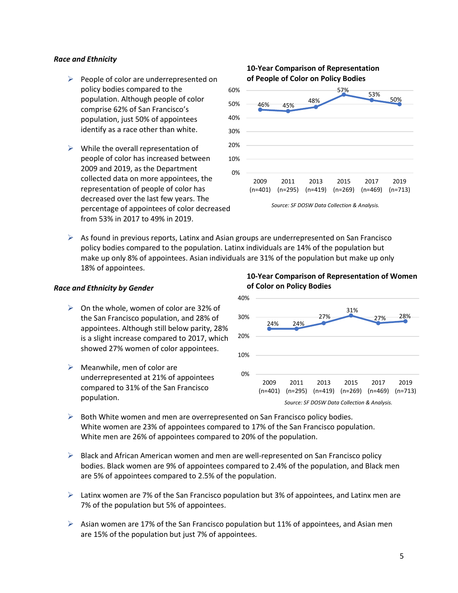#### *Race and Ethnicity*

- $\triangleright$  People of color are underrepresented on policy bodies compared to the population. Although people of color comprise 62% of San Francisco's population, just 50% of appointees identify as a race other than white.
- $\triangleright$  While the overall representation of people of color has increased between 2009 and 2019, as the Department collected data on more appointees, the representation of people of color has decreased over the last few years. The percentage of appointees of color decreased from 53% in 2017 to 49% in 2019.

#### *Source: SF DOSW Data Collection & Analysis.* 46% 45% 48% 57% 53% 50% 0% 10% 20% 30% 40% 50% 60% 2009 (n=401) (n=295) (n=419) (n=269) (n=469) (n=713) 2011 2013 2015 2017 2019 **of People of Color on Policy Bodies**

**10-Year Comparison of Representation** 

 $\triangleright$  As found in previous reports, Latinx and Asian groups are underrepresented on San Francisco policy bodies compared to the population. Latinx individuals are 14% of the population but make up only 8% of appointees. Asian individuals are 31% of the population but make up only 18% of appointees.

#### *Race and Ethnicity by Gender*

- $\triangleright$  On the whole, women of color are 32% of the San Francisco population, and 28% of appointees. Although still below parity, 28% is a slight increase compared to 2017, which showed 27% women of color appointees.
- $\triangleright$  Meanwhile, men of color are underrepresented at 21% of appointees compared to 31% of the San Francisco population.



- $\triangleright$  Both White women and men are overrepresented on San Francisco policy bodies. White women are 23% of appointees compared to 17% of the San Francisco population. White men are 26% of appointees compared to 20% of the population.
- $\triangleright$  Black and African American women and men are well-represented on San Francisco policy bodies. Black women are 9% of appointees compared to 2.4% of the population, and Black men are 5% of appointees compared to 2.5% of the population.
- $\triangleright$  Latinx women are 7% of the San Francisco population but 3% of appointees, and Latinx men are 7% of the population but 5% of appointees.
- $\triangleright$  Asian women are 17% of the San Francisco population but 11% of appointees, and Asian men are 15% of the population but just 7% of appointees.

**10-Year Comparison of Representation of Women of Color on Policy Bodies**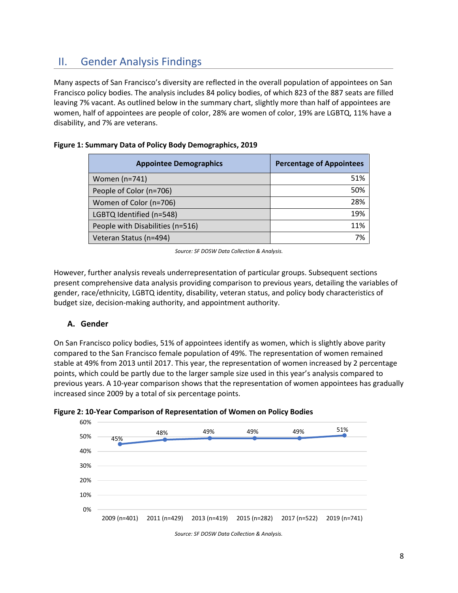# II. Gender Analysis Findings

Many aspects of San Francisco's diversity are reflected in the overall population of appointees on San Francisco policy bodies. The analysis includes 84 policy bodies, of which 823 of the 887 seats are filled leaving 7% vacant. As outlined below in the summary chart, slightly more than half of appointees are women, half of appointees are people of color, 28% are women of color, 19% are LGBTQ, 11% have a disability, and 7% are veterans.

| <b>Appointee Demographics</b>    | <b>Percentage of Appointees</b> |
|----------------------------------|---------------------------------|
| Women (n=741)                    | 51%                             |
| People of Color (n=706)          | 50%                             |
| Women of Color (n=706)           | 28%                             |
| LGBTQ Identified (n=548)         | 19%                             |
| People with Disabilities (n=516) | 11%                             |
| Veteran Status (n=494)           | 7%                              |

#### **Figure 1: Summary Data of Policy Body Demographics, 2019**

*Source: SF DOSW Data Collection & Analysis.*

However, further analysis reveals underrepresentation of particular groups. Subsequent sections present comprehensive data analysis providing comparison to previous years, detailing the variables of gender, race/ethnicity, LGBTQ identity, disability, veteran status, and policy body characteristics of budget size, decision-making authority, and appointment authority.

#### **A. Gender**

On San Francisco policy bodies, 51% of appointees identify as women, which is slightly above parity compared to the San Francisco female population of 49%. The representation of women remained stable at 49% from 2013 until 2017. This year, the representation of women increased by 2 percentage points, which could be partly due to the larger sample size used in this year's analysis compared to previous years. A 10-year comparison shows that the representation of women appointees has gradually increased since 2009 by a total of six percentage points.





*Source: SF DOSW Data Collection & Analysis.*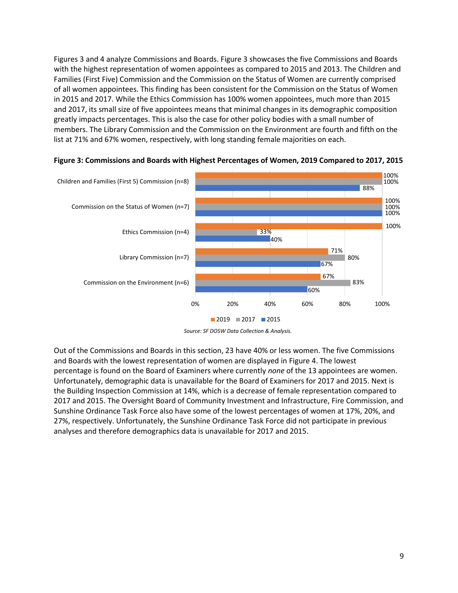Figures 3 and 4 analyze Commissions and Boards. Figure 3 showcases the five Commissions and Boards with the highest representation of women appointees as compared to 2015 and 2013. The Children and Families (First Five) Commission and the Commission on the Status of Women are currently comprised of all women appointees. This finding has been consistent for the Commission on the Status of Women in 2015 and 2017. While the Ethics Commission has 100% women appointees, much more than 2015 and 2017, its small size of five appointees means that minimal changes in its demographic composition greatly impacts percentages. This is also the case for other policy bodies with a small number of members. The Library Commission and the Commission on the Environment are fourth and fifth on the list at 71% and 67% women, respectively, with long standing female majorities on each.



#### **Figure 3: Commissions and Boards with Highest Percentages of Women, 2019 Compared to 2017, 2015**

Out of the Commissions and Boards in this section, 23 have 40% or less women. The five Commissions and Boards with the lowest representation of women are displayed in Figure 4. The lowest percentage is found on the Board of Examiners where currently *none* of the 13 appointees are women. Unfortunately, demographic data is unavailable for the Board of Examiners for 2017 and 2015. Next is the Building Inspection Commission at 14%, which is a decrease of female representation compared to 2017 and 2015. The Oversight Board of Community Investment and Infrastructure, Fire Commission, and Sunshine Ordinance Task Force also have some of the lowest percentages of women at 17%, 20%, and 27%, respectively. Unfortunately, the Sunshine Ordinance Task Force did not participate in previous analyses and therefore demographics data is unavailable for 2017 and 2015.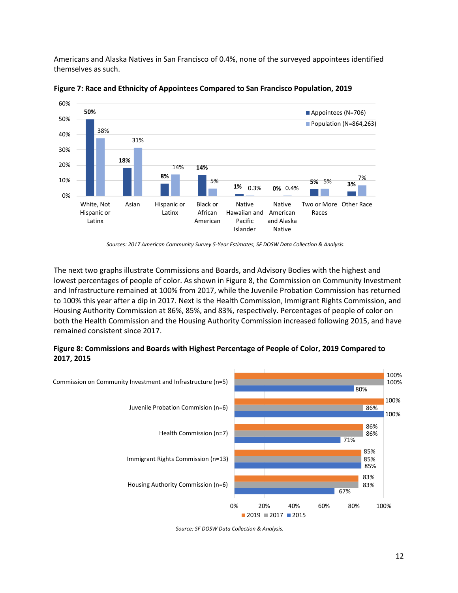Americans and Alaska Natives in San Francisco of 0.4%, none of the surveyed appointees identified themselves as such.



**Figure 7: Race and Ethnicity of Appointees Compared to San Francisco Population, 2019**

The next two graphs illustrate Commissions and Boards, and Advisory Bodies with the highest and lowest percentages of people of color. As shown in Figure 8, the Commission on Community Investment and Infrastructure remained at 100% from 2017, while the Juvenile Probation Commission has returned to 100% this year after a dip in 2017. Next is the Health Commission, Immigrant Rights Commission, and Housing Authority Commission at 86%, 85%, and 83%, respectively. Percentages of people of color on both the Health Commission and the Housing Authority Commission increased following 2015, and have remained consistent since 2017.

### **Figure 8: Commissions and Boards with Highest Percentage of People of Color, 2019 Compared to 2017, 2015**



*Source: SF DOSW Data Collection & Analysis.*

*Sources: 2017 American Community Survey 5-Year Estimates, SF DOSW Data Collection & Analysis.*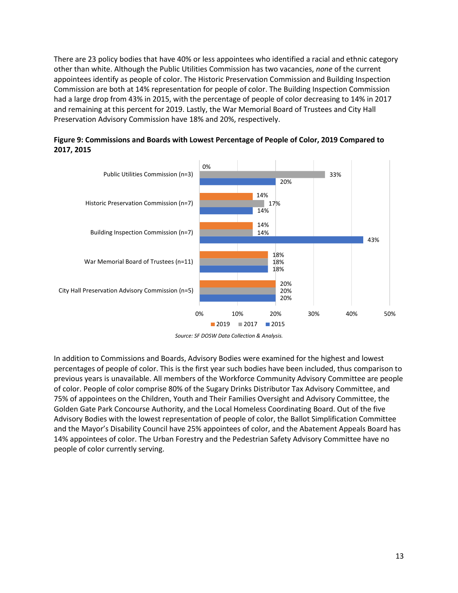There are 23 policy bodies that have 40% or less appointees who identified a racial and ethnic category other than white. Although the Public Utilities Commission has two vacancies, *none* of the current appointees identify as people of color. The Historic Preservation Commission and Building Inspection Commission are both at 14% representation for people of color. The Building Inspection Commission had a large drop from 43% in 2015, with the percentage of people of color decreasing to 14% in 2017 and remaining at this percent for 2019. Lastly, the War Memorial Board of Trustees and City Hall Preservation Advisory Commission have 18% and 20%, respectively.





In addition to Commissions and Boards, Advisory Bodies were examined for the highest and lowest percentages of people of color. This is the first year such bodies have been included, thus comparison to previous years is unavailable. All members of the Workforce Community Advisory Committee are people of color. People of color comprise 80% of the Sugary Drinks Distributor Tax Advisory Committee, and 75% of appointees on the Children, Youth and Their Families Oversight and Advisory Committee, the Golden Gate Park Concourse Authority, and the Local Homeless Coordinating Board. Out of the five Advisory Bodies with the lowest representation of people of color, the Ballot Simplification Committee and the Mayor's Disability Council have 25% appointees of color, and the Abatement Appeals Board has 14% appointees of color. The Urban Forestry and the Pedestrian Safety Advisory Committee have no people of color currently serving.

*Source: SF DOSW Data Collection & Analysis.*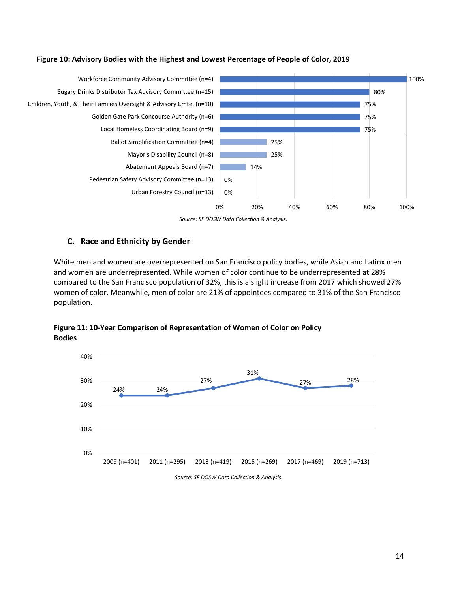



*Source: SF DOSW Data Collection & Analysis.*

#### **C. Race and Ethnicity by Gender**

White men and women are overrepresented on San Francisco policy bodies, while Asian and Latinx men and women are underrepresented. While women of color continue to be underrepresented at 28% compared to the San Francisco population of 32%, this is a slight increase from 2017 which showed 27% women of color. Meanwhile, men of color are 21% of appointees compared to 31% of the San Francisco population.

**Figure 11: 10-Year Comparison of Representation of Women of Color on Policy Bodies**

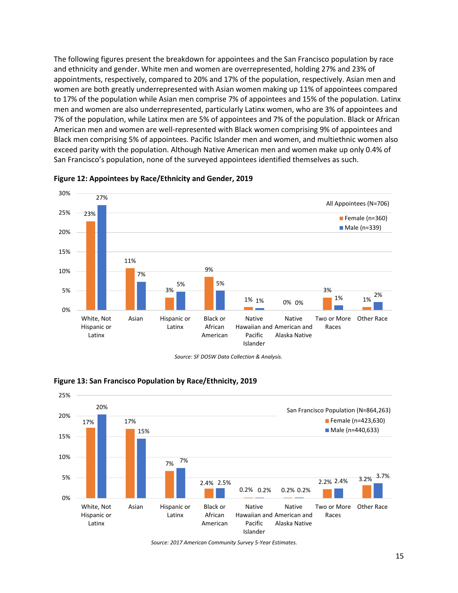The following figures present the breakdown for appointees and the San Francisco population by race and ethnicity and gender. White men and women are overrepresented, holding 27% and 23% of appointments, respectively, compared to 20% and 17% of the population, respectively. Asian men and women are both greatly underrepresented with Asian women making up 11% of appointees compared to 17% of the population while Asian men comprise 7% of appointees and 15% of the population. Latinx men and women are also underrepresented, particularly Latinx women, who are 3% of appointees and 7% of the population, while Latinx men are 5% of appointees and 7% of the population. Black or African American men and women are well-represented with Black women comprising 9% of appointees and Black men comprising 5% of appointees. Pacific Islander men and women, and multiethnic women also exceed parity with the population. Although Native American men and women make up only 0.4% of San Francisco's population, none of the surveyed appointees identified themselves as such.



**Figure 12: Appointees by Race/Ethnicity and Gender, 2019**





#### **Figure 13: San Francisco Population by Race/Ethnicity, 2019**

*Source: 2017 American Community Survey 5-Year Estimates.*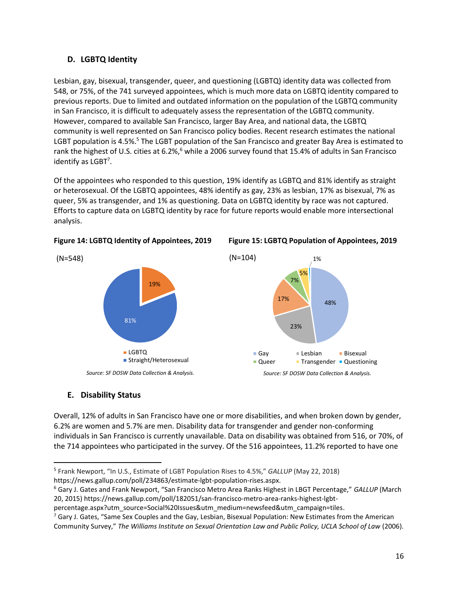### **D. LGBTQ Identity**

Lesbian, gay, bisexual, transgender, queer, and questioning (LGBTQ) identity data was collected from 548, or 75%, of the 741 surveyed appointees, which is much more data on LGBTQ identity compared to previous reports. Due to limited and outdated information on the population of the LGBTQ community in San Francisco, it is difficult to adequately assess the representation of the LGBTQ community. However, compared to available San Francisco, larger Bay Area, and national data, the LGBTQ community is well represented on San Francisco policy bodies. Recent research estimates the national LGBT population is 4.5%.<sup>5</sup> The LGBT population of the San Francisco and greater Bay Area is estimated to rank the highest of U.S. cities at 6.2%,<sup>6</sup> while a 2006 survey found that 15.4% of adults in San Francisco identify as LGBT<sup>7</sup>.

Of the appointees who responded to this question, 19% identify as LGBTQ and 81% identify as straight or heterosexual. Of the LGBTQ appointees, 48% identify as gay, 23% as lesbian, 17% as bisexual, 7% as queer, 5% as transgender, and 1% as questioning. Data on LGBTQ identity by race was not captured. Efforts to capture data on LGBTQ identity by race for future reports would enable more intersectional analysis.





1%

5%

48%

#### **E. Disability Status**

Overall, 12% of adults in San Francisco have one or more disabilities, and when broken down by gender, 6.2% are women and 5.7% are men. Disability data for transgender and gender non-conforming individuals in San Francisco is currently unavailable. Data on disability was obtained from 516, or 70%, of the 714 appointees who participated in the survey. Of the 516 appointees, 11.2% reported to have one

[https://news.gallup.com/poll/234863/estimate-lgbt-population-rises.aspx.](https://news.gallup.com/poll/234863/estimate-lgbt-population-rises.aspx)

[percentage.aspx?utm\\_source=Social%20Issues&utm\\_medium=newsfeed&utm\\_campaign=tiles.](https://news.gallup.com/poll/182051/san-francisco-metro-area-ranks-highest-lgbt-percentage.aspx?utm_source=Social%20Issues&utm_medium=newsfeed&utm_campaign=tiles)

<sup>5</sup> Frank Newport, "In U.S., Estimate of LGBT Population Rises to 4.5%," *GALLUP* (May 22, 2018)

<sup>6</sup> Gary J. Gates and Frank Newport, "San Francisco Metro Area Ranks Highest in LBGT Percentage," *GALLUP* (March 20, 2015[\) https://news.gallup.com/poll/182051/san-francisco-metro-area-ranks-highest-lgbt-](https://news.gallup.com/poll/182051/san-francisco-metro-area-ranks-highest-lgbt-percentage.aspx?utm_source=Social%20Issues&utm_medium=newsfeed&utm_campaign=tiles)

<sup>&</sup>lt;sup>7</sup> Gary J. Gates, "Same Sex Couples and the Gay, Lesbian, Bisexual Population: New Estimates from the American Community Survey," *The Williams Institute on Sexual Orientation Law and Public Policy, UCLA School of Law* (2006).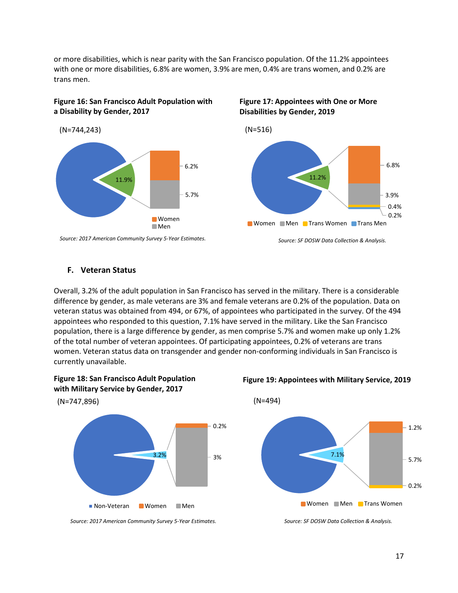or more disabilities, which is near parity with the San Francisco population. Of the 11.2% appointees with one or more disabilities, 6.8% are women, 3.9% are men, 0.4% are trans women, and 0.2% are trans men.

#### **Figure 16: San Francisco Adult Population with a Disability by Gender, 2017**



**Figure 17: Appointees with One or More Disabilities by Gender, 2019**



#### **F. Veteran Status**

Overall, 3.2% of the adult population in San Francisco has served in the military. There is a considerable difference by gender, as male veterans are 3% and female veterans are 0.2% of the population. Data on veteran status was obtained from 494, or 67%, of appointees who participated in the survey. Of the 494 appointees who responded to this question, 7.1% have served in the military. Like the San Francisco population, there is a large difference by gender, as men comprise 5.7% and women make up only 1.2% of the total number of veteran appointees. Of participating appointees, 0.2% of veterans are trans women. Veteran status data on transgender and gender non-conforming individuals in San Francisco is currently unavailable.





*Source: 2017 American Community Survey 5-Year Estimates.*

#### **Figure 19: Appointees with Military Service, 2019**



*Source: SF DOSW Data Collection & Analysis.*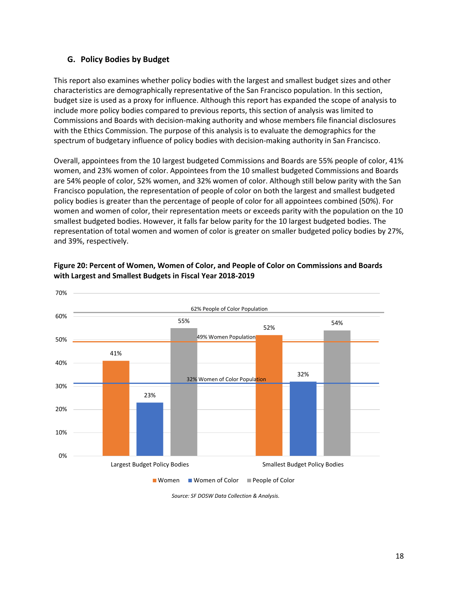#### **G. Policy Bodies by Budget**

This report also examines whether policy bodies with the largest and smallest budget sizes and other characteristics are demographically representative of the San Francisco population. In this section, budget size is used as a proxy for influence. Although this report has expanded the scope of analysis to include more policy bodies compared to previous reports, this section of analysis was limited to Commissions and Boards with decision-making authority and whose members file financial disclosures with the Ethics Commission. The purpose of this analysis is to evaluate the demographics for the spectrum of budgetary influence of policy bodies with decision-making authority in San Francisco.

Overall, appointees from the 10 largest budgeted Commissions and Boards are 55% people of color, 41% women, and 23% women of color. Appointees from the 10 smallest budgeted Commissions and Boards are 54% people of color, 52% women, and 32% women of color. Although still below parity with the San Francisco population, the representation of people of color on both the largest and smallest budgeted policy bodies is greater than the percentage of people of color for all appointees combined (50%). For women and women of color, their representation meets or exceeds parity with the population on the 10 smallest budgeted bodies. However, it falls far below parity for the 10 largest budgeted bodies. The representation of total women and women of color is greater on smaller budgeted policy bodies by 27%, and 39%, respectively.



### **Figure 20: Percent of Women, Women of Color, and People of Color on Commissions and Boards with Largest and Smallest Budgets in Fiscal Year 2018-2019**

*Source: SF DOSW Data Collection & Analysis.*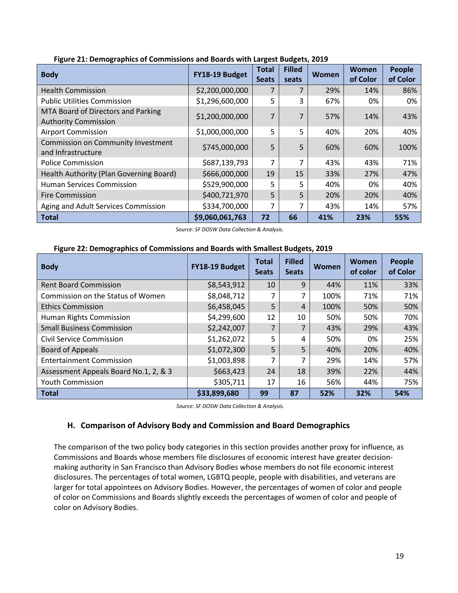| <b>Body</b>                                                       | FY18-19 Budget  | <b>Total</b><br><b>Seats</b> | <b>Filled</b><br>seats | <b>Women</b> | Women<br>of Color | <b>People</b><br>of Color |
|-------------------------------------------------------------------|-----------------|------------------------------|------------------------|--------------|-------------------|---------------------------|
| <b>Health Commission</b>                                          | \$2,200,000,000 |                              |                        | 29%          | 14%               | 86%                       |
| <b>Public Utilities Commission</b>                                | \$1,296,600,000 | 5                            | 3                      | 67%          | 0%                | 0%                        |
| MTA Board of Directors and Parking<br><b>Authority Commission</b> | \$1,200,000,000 | 7                            |                        | 57%          | 14%               | 43%                       |
| <b>Airport Commission</b>                                         | \$1,000,000,000 | 5                            | 5                      | 40%          | 20%               | 40%                       |
| Commission on Community Investment<br>and Infrastructure          | \$745,000,000   | 5                            | 5                      | 60%          | 60%               | 100%                      |
| <b>Police Commission</b>                                          | \$687,139,793   |                              |                        | 43%          | 43%               | 71%                       |
| Health Authority (Plan Governing Board)                           | \$666,000,000   | 19                           | 15                     | 33%          | 27%               | 47%                       |
| <b>Human Services Commission</b>                                  | \$529,900,000   | 5                            | 5                      | 40%          | 0%                | 40%                       |
| <b>Fire Commission</b>                                            | \$400,721,970   | 5                            | 5                      | 20%          | 20%               | 40%                       |
| Aging and Adult Services Commission                               | \$334,700,000   | 7                            |                        | 43%          | 14%               | 57%                       |
| <b>Total</b>                                                      | \$9,060,061,763 | 72                           | 66                     | 41%          | 23%               | 55%                       |

#### **Figure 21: Demographics of Commissions and Boards with Largest Budgets, 2019**

*Source: SF DOSW Data Collection & Analysis.*

### **Figure 22: Demographics of Commissions and Boards with Smallest Budgets, 2019**

| <b>Body</b>                           | FY18-19 Budget | <b>Total</b><br><b>Seats</b> | <b>Filled</b><br><b>Seats</b> | Women | Women<br>of color | <b>People</b><br>of Color |
|---------------------------------------|----------------|------------------------------|-------------------------------|-------|-------------------|---------------------------|
| <b>Rent Board Commission</b>          | \$8,543,912    | 10                           | 9                             | 44%   | 11%               | 33%                       |
| Commission on the Status of Women     | \$8,048,712    |                              | 7                             | 100%  | 71%               | 71%                       |
| <b>Ethics Commission</b>              | \$6,458,045    | 5                            | 4                             | 100%  | 50%               | 50%                       |
| Human Rights Commission               | \$4,299,600    | 12                           | 10                            | 50%   | 50%               | 70%                       |
| <b>Small Business Commission</b>      | \$2,242,007    | 7                            | 7                             | 43%   | 29%               | 43%                       |
| Civil Service Commission              | \$1,262,072    | 5                            | 4                             | 50%   | 0%                | 25%                       |
| <b>Board of Appeals</b>               | \$1,072,300    | 5                            | 5                             | 40%   | 20%               | 40%                       |
| <b>Entertainment Commission</b>       | \$1,003,898    | 7                            | 7                             | 29%   | 14%               | 57%                       |
| Assessment Appeals Board No.1, 2, & 3 | \$663,423      | 24                           | 18                            | 39%   | 22%               | 44%                       |
| <b>Youth Commission</b>               | \$305,711      | 17                           | 16                            | 56%   | 44%               | 75%                       |
| <b>Total</b>                          | \$33,899,680   | 99                           | 87                            | 52%   | 32%               | 54%                       |

*Source: SF DOSW Data Collection & Analysis.*

#### **H. Comparison of Advisory Body and Commission and Board Demographics**

The comparison of the two policy body categories in this section provides another proxy for influence, as Commissions and Boards whose members file disclosures of economic interest have greater decisionmaking authority in San Francisco than Advisory Bodies whose members do not file economic interest disclosures. The percentages of total women, LGBTQ people, people with disabilities, and veterans are larger for total appointees on Advisory Bodies. However, the percentages of women of color and people of color on Commissions and Boards slightly exceeds the percentages of women of color and people of color on Advisory Bodies.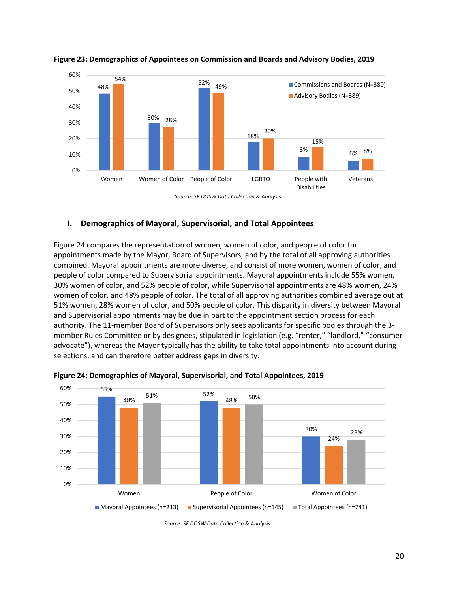

#### **Figure 23: Demographics of Appointees on Commission and Boards and Advisory Bodies, 2019**

#### **I. Demographics of Mayoral, Supervisorial, and Total Appointees**

Figure 24 compares the representation of women, women of color, and people of color for appointments made by the Mayor, Board of Supervisors, and by the total of all approving authorities combined. Mayoral appointments are more diverse, and consist of more women, women of color, and people of color compared to Supervisorial appointments. Mayoral appointments include 55% women, 30% women of color, and 52% people of color, while Supervisorial appointments are 48% women, 24% women of color, and 48% people of color. The total of all approving authorities combined average out at 51% women, 28% women of color, and 50% people of color. This disparity in diversity between Mayoral and Supervisorial appointments may be due in part to the appointment section process for each authority. The 11-member Board of Supervisors only sees applicants for specific bodies through the 3 member Rules Committee or by designees, stipulated in legislation (e.g. "renter," "landlord," "consumer advocate"), whereas the Mayor typically has the ability to take total appointments into account during selections, and can therefore better address gaps in diversity.



**Figure 24: Demographics of Mayoral, Supervisorial, and Total Appointees, 2019**

*Source: SF DOSW Data Collection & Analysis.*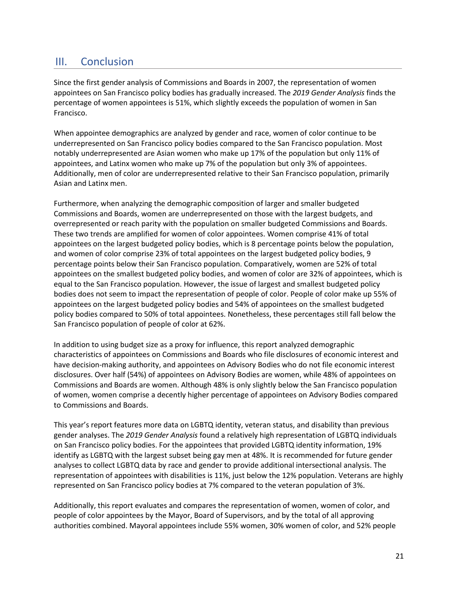## III. Conclusion

Since the first gender analysis of Commissions and Boards in 2007, the representation of women appointees on San Francisco policy bodies has gradually increased. The *2019 Gender Analysis* finds the percentage of women appointees is 51%, which slightly exceeds the population of women in San Francisco.

When appointee demographics are analyzed by gender and race, women of color continue to be underrepresented on San Francisco policy bodies compared to the San Francisco population. Most notably underrepresented are Asian women who make up 17% of the population but only 11% of appointees, and Latinx women who make up 7% of the population but only 3% of appointees. Additionally, men of color are underrepresented relative to their San Francisco population, primarily Asian and Latinx men.

Furthermore, when analyzing the demographic composition of larger and smaller budgeted Commissions and Boards, women are underrepresented on those with the largest budgets, and overrepresented or reach parity with the population on smaller budgeted Commissions and Boards. These two trends are amplified for women of color appointees. Women comprise 41% of total appointees on the largest budgeted policy bodies, which is 8 percentage points below the population, and women of color comprise 23% of total appointees on the largest budgeted policy bodies, 9 percentage points below their San Francisco population. Comparatively, women are 52% of total appointees on the smallest budgeted policy bodies, and women of color are 32% of appointees, which is equal to the San Francisco population. However, the issue of largest and smallest budgeted policy bodies does not seem to impact the representation of people of color. People of color make up 55% of appointees on the largest budgeted policy bodies and 54% of appointees on the smallest budgeted policy bodies compared to 50% of total appointees. Nonetheless, these percentages still fall below the San Francisco population of people of color at 62%.

In addition to using budget size as a proxy for influence, this report analyzed demographic characteristics of appointees on Commissions and Boards who file disclosures of economic interest and have decision-making authority, and appointees on Advisory Bodies who do not file economic interest disclosures. Over half (54%) of appointees on Advisory Bodies are women, while 48% of appointees on Commissions and Boards are women. Although 48% is only slightly below the San Francisco population of women, women comprise a decently higher percentage of appointees on Advisory Bodies compared to Commissions and Boards.

This year's report features more data on LGBTQ identity, veteran status, and disability than previous gender analyses. The *2019 Gender Analysis* found a relatively high representation of LGBTQ individuals on San Francisco policy bodies. For the appointees that provided LGBTQ identity information, 19% identify as LGBTQ with the largest subset being gay men at 48%. It is recommended for future gender analyses to collect LGBTQ data by race and gender to provide additional intersectional analysis. The representation of appointees with disabilities is 11%, just below the 12% population. Veterans are highly represented on San Francisco policy bodies at 7% compared to the veteran population of 3%.

Additionally, this report evaluates and compares the representation of women, women of color, and people of color appointees by the Mayor, Board of Supervisors, and by the total of all approving authorities combined. Mayoral appointees include 55% women, 30% women of color, and 52% people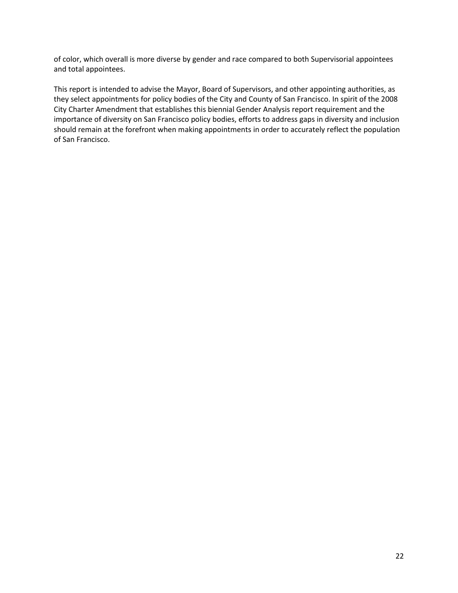of color, which overall is more diverse by gender and race compared to both Supervisorial appointees and total appointees.

This report is intended to advise the Mayor, Board of Supervisors, and other appointing authorities, as they select appointments for policy bodies of the City and County of San Francisco. In spirit of the 2008 City Charter Amendment that establishes this biennial Gender Analysis report requirement and the importance of diversity on San Francisco policy bodies, efforts to address gaps in diversity and inclusion should remain at the forefront when making appointments in order to accurately reflect the population of San Francisco.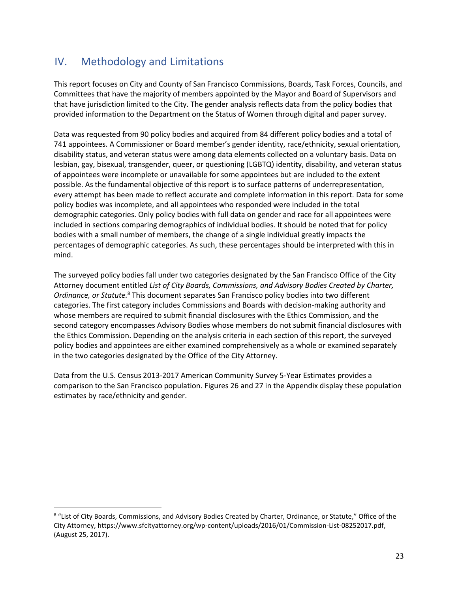# IV. Methodology and Limitations

 $\overline{a}$ 

This report focuses on City and County of San Francisco Commissions, Boards, Task Forces, Councils, and Committees that have the majority of members appointed by the Mayor and Board of Supervisors and that have jurisdiction limited to the City. The gender analysis reflects data from the policy bodies that provided information to the Department on the Status of Women through digital and paper survey.

Data was requested from 90 policy bodies and acquired from 84 different policy bodies and a total of 741 appointees. A Commissioner or Board member's gender identity, race/ethnicity, sexual orientation, disability status, and veteran status were among data elements collected on a voluntary basis. Data on lesbian, gay, bisexual, transgender, queer, or questioning (LGBTQ) identity, disability, and veteran status of appointees were incomplete or unavailable for some appointees but are included to the extent possible. As the fundamental objective of this report is to surface patterns of underrepresentation, every attempt has been made to reflect accurate and complete information in this report. Data for some policy bodies was incomplete, and all appointees who responded were included in the total demographic categories. Only policy bodies with full data on gender and race for all appointees were included in sections comparing demographics of individual bodies. It should be noted that for policy bodies with a small number of members, the change of a single individual greatly impacts the percentages of demographic categories. As such, these percentages should be interpreted with this in mind.

The surveyed policy bodies fall under two categories designated by the San Francisco Office of the City Attorney document entitled *List of City Boards, Commissions, and Advisory Bodies Created by Charter, Ordinance, or Statute.*<sup>8</sup> This document separates San Francisco policy bodies into two different categories. The first category includes Commissions and Boards with decision-making authority and whose members are required to submit financial disclosures with the Ethics Commission, and the second category encompasses Advisory Bodies whose members do not submit financial disclosures with the Ethics Commission. Depending on the analysis criteria in each section of this report, the surveyed policy bodies and appointees are either examined comprehensively as a whole or examined separately in the two categories designated by the Office of the City Attorney.

Data from the U.S. Census 2013-2017 American Community Survey 5-Year Estimates provides a comparison to the San Francisco population. Figures 26 and 27 in the Appendix display these population estimates by race/ethnicity and gender.

<sup>8</sup> "List of City Boards, Commissions, and Advisory Bodies Created by Charter, Ordinance, or Statute," Office of the City Attorney[, https://www.sfcityattorney.org/wp-content/uploads/2016/01/Commission-List-08252017.pdf,](https://www.sfcityattorney.org/wp-content/uploads/2016/01/Commission-List-08252017.pdf)  (August 25, 2017).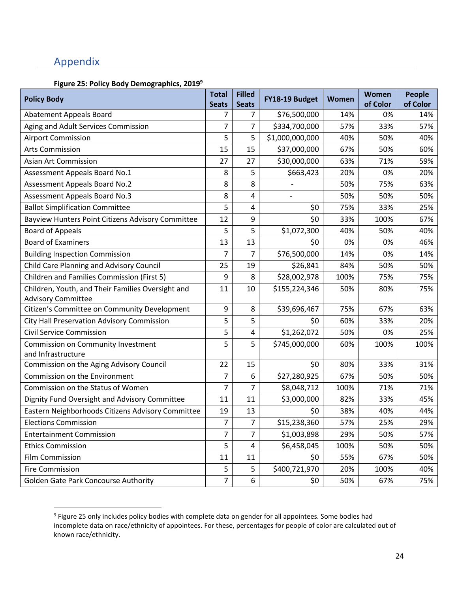# Appendix

### **Figure 25: Policy Body Demographics, 2019<sup>9</sup>**

| <b>Policy Body</b>                                                             | <b>Total</b><br><b>Seats</b> | <b>Filled</b><br><b>Seats</b> | FY18-19 Budget  | Women | <b>Women</b><br>of Color | <b>People</b><br>of Color |
|--------------------------------------------------------------------------------|------------------------------|-------------------------------|-----------------|-------|--------------------------|---------------------------|
| <b>Abatement Appeals Board</b>                                                 | 7                            | 7                             | \$76,500,000    | 14%   | 0%                       | 14%                       |
| Aging and Adult Services Commission                                            | $\overline{7}$               | $\overline{7}$                | \$334,700,000   | 57%   | 33%                      | 57%                       |
| <b>Airport Commission</b>                                                      | 5                            | 5                             | \$1,000,000,000 | 40%   | 50%                      | 40%                       |
| <b>Arts Commission</b>                                                         | 15                           | 15                            | \$37,000,000    | 67%   | 50%                      | 60%                       |
| <b>Asian Art Commission</b>                                                    | 27                           | 27                            | \$30,000,000    | 63%   | 71%                      | 59%                       |
| Assessment Appeals Board No.1                                                  | 8                            | 5                             | \$663,423       | 20%   | 0%                       | 20%                       |
| <b>Assessment Appeals Board No.2</b>                                           | 8                            | 8                             |                 | 50%   | 75%                      | 63%                       |
| <b>Assessment Appeals Board No.3</b>                                           | 8                            | 4                             |                 | 50%   | 50%                      | 50%                       |
| <b>Ballot Simplification Committee</b>                                         | 5                            | 4                             | \$0             | 75%   | 33%                      | 25%                       |
| Bayview Hunters Point Citizens Advisory Committee                              | 12                           | 9                             | \$0             | 33%   | 100%                     | 67%                       |
| <b>Board of Appeals</b>                                                        | 5                            | 5                             | \$1,072,300     | 40%   | 50%                      | 40%                       |
| <b>Board of Examiners</b>                                                      | 13                           | 13                            | \$0             | 0%    | 0%                       | 46%                       |
| <b>Building Inspection Commission</b>                                          | $\overline{7}$               | 7                             | \$76,500,000    | 14%   | 0%                       | 14%                       |
| Child Care Planning and Advisory Council                                       | 25                           | 19                            | \$26,841        | 84%   | 50%                      | 50%                       |
| Children and Families Commission (First 5)                                     | 9                            | 8                             | \$28,002,978    | 100%  | 75%                      | 75%                       |
| Children, Youth, and Their Families Oversight and<br><b>Advisory Committee</b> | 11                           | 10                            | \$155,224,346   | 50%   | 80%                      | 75%                       |
| Citizen's Committee on Community Development                                   | 9                            | 8                             | \$39,696,467    | 75%   | 67%                      | 63%                       |
| City Hall Preservation Advisory Commission                                     | 5                            | 5                             | \$0             | 60%   | 33%                      | 20%                       |
| <b>Civil Service Commission</b>                                                | 5                            | 4                             | \$1,262,072     | 50%   | 0%                       | 25%                       |
| Commission on Community Investment<br>and Infrastructure                       | 5                            | 5                             | \$745,000,000   | 60%   | 100%                     | 100%                      |
| Commission on the Aging Advisory Council                                       | 22                           | 15                            | \$0             | 80%   | 33%                      | 31%                       |
| Commission on the Environment                                                  | 7                            | 6                             | \$27,280,925    | 67%   | 50%                      | 50%                       |
| Commission on the Status of Women                                              | $\overline{7}$               | $\overline{7}$                | \$8,048,712     | 100%  | 71%                      | 71%                       |
| Dignity Fund Oversight and Advisory Committee                                  | 11                           | 11                            | \$3,000,000     | 82%   | 33%                      | 45%                       |
| Eastern Neighborhoods Citizens Advisory Committee                              | 19                           | 13                            | \$0             | 38%   | 40%                      | 44%                       |
| <b>Elections Commission</b>                                                    | 7                            | 7                             | \$15,238,360    | 57%   | 25%                      | 29%                       |
| <b>Entertainment Commission</b>                                                | 7                            | 7                             | \$1,003,898     | 29%   | 50%                      | 57%                       |
| <b>Ethics Commission</b>                                                       | 5                            | 4                             | \$6,458,045     | 100%  | 50%                      | 50%                       |
| <b>Film Commission</b>                                                         | 11                           | 11                            | \$0             | 55%   | 67%                      | 50%                       |
| <b>Fire Commission</b>                                                         | 5                            | 5                             | \$400,721,970   | 20%   | 100%                     | 40%                       |
| Golden Gate Park Concourse Authority                                           | $\overline{7}$               | 6                             | \$0             | 50%   | 67%                      | 75%                       |

 9 Figure 25 only includes policy bodies with complete data on gender for all appointees. Some bodies had incomplete data on race/ethnicity of appointees. For these, percentages for people of color are calculated out of known race/ethnicity.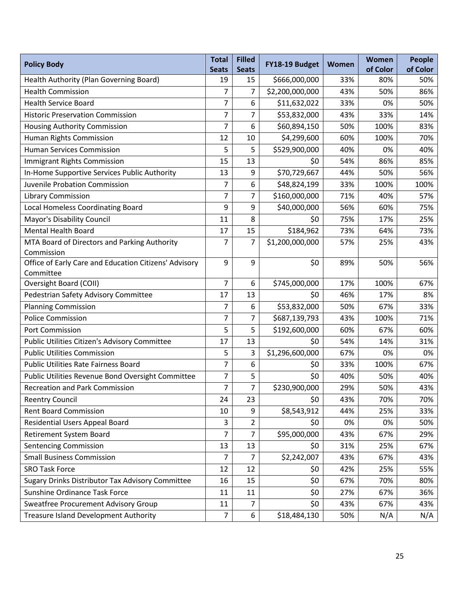| <b>Policy Body</b>                                     | <b>Total</b><br><b>Seats</b> | <b>Filled</b><br><b>Seats</b> | FY18-19 Budget                | Women      | Women<br>of Color | <b>People</b><br>of Color |
|--------------------------------------------------------|------------------------------|-------------------------------|-------------------------------|------------|-------------------|---------------------------|
| Health Authority (Plan Governing Board)                | 19                           | 15                            | \$666,000,000                 | 33%        | 80%               | 50%                       |
| <b>Health Commission</b>                               | $\overline{7}$               | $\overline{7}$                | \$2,200,000,000               | 43%        | 50%               | 86%                       |
| <b>Health Service Board</b>                            | 7                            | 6                             | \$11,632,022                  | 33%        | 0%                | 50%                       |
| <b>Historic Preservation Commission</b>                | 7                            | 7                             | \$53,832,000                  | 43%        | 33%               | 14%                       |
| Housing Authority Commission                           | 7                            | 6                             | \$60,894,150                  | 50%        | 100%              | 83%                       |
| Human Rights Commission                                | 12                           | 10                            | \$4,299,600                   | 60%        | 100%              | 70%                       |
| <b>Human Services Commission</b>                       | 5                            | 5                             | \$529,900,000                 | 40%        | 0%                | 40%                       |
| <b>Immigrant Rights Commission</b>                     | 15                           | 13                            | \$0                           | 54%        | 86%               | 85%                       |
| In-Home Supportive Services Public Authority           | 13                           | 9                             | \$70,729,667                  | 44%        | 50%               | 56%                       |
| Juvenile Probation Commission                          | 7                            | 6                             | \$48,824,199                  | 33%        | 100%              | 100%                      |
| <b>Library Commission</b>                              | $\overline{7}$               | $\overline{7}$                | \$160,000,000                 | 71%        | 40%               | 57%                       |
| <b>Local Homeless Coordinating Board</b>               | 9                            | 9                             | \$40,000,000                  | 56%        | 60%               | 75%                       |
| <b>Mayor's Disability Council</b>                      | 11                           | 8                             | \$0                           | 75%        | 17%               | 25%                       |
| <b>Mental Health Board</b>                             | 17                           | 15                            | \$184,962                     | 73%        | 64%               | 73%                       |
| MTA Board of Directors and Parking Authority           | 7                            | 7                             | \$1,200,000,000               | 57%        | 25%               | 43%                       |
| Commission                                             |                              |                               |                               |            |                   |                           |
| Office of Early Care and Education Citizens' Advisory  | 9                            | 9                             | \$0                           | 89%        | 50%               | 56%                       |
| Committee                                              |                              |                               |                               |            |                   |                           |
| <b>Oversight Board (COII)</b>                          | 7<br>17                      | 6<br>13                       | \$745,000,000<br>\$0          | 17%        | 100%<br>17%       | 67%<br>8%                 |
| Pedestrian Safety Advisory Committee                   | 7                            | 6                             |                               | 46%<br>50% | 67%               |                           |
| <b>Planning Commission</b><br><b>Police Commission</b> | 7                            | $\overline{7}$                | \$53,832,000<br>\$687,139,793 | 43%        | 100%              | 33%<br>71%                |
| Port Commission                                        | 5                            | 5                             | \$192,600,000                 | 60%        | 67%               | 60%                       |
| Public Utilities Citizen's Advisory Committee          | 17                           | 13                            | \$0                           | 54%        | 14%               | 31%                       |
| <b>Public Utilities Commission</b>                     | 5                            | 3                             | \$1,296,600,000               | 67%        | 0%                | 0%                        |
| <b>Public Utilities Rate Fairness Board</b>            | $\overline{7}$               | 6                             | \$0                           | 33%        | 100%              | 67%                       |
| Public Utilities Revenue Bond Oversight Committee      | 7                            | 5                             | \$0                           | 40%        | 50%               | 40%                       |
| <b>Recreation and Park Commission</b>                  | $\overline{7}$               | $\overline{7}$                | \$230,900,000                 | 29%        | 50%               | 43%                       |
| <b>Reentry Council</b>                                 | 24                           | 23                            | \$0                           | 43%        | 70%               | 70%                       |
| <b>Rent Board Commission</b>                           | 10                           | 9                             | \$8,543,912                   | 44%        | 25%               | 33%                       |
| <b>Residential Users Appeal Board</b>                  | 3                            | $\overline{2}$                | \$0                           | 0%         | 0%                | 50%                       |
| Retirement System Board                                | $\overline{7}$               | $\overline{7}$                | \$95,000,000                  | 43%        | 67%               | 29%                       |
| <b>Sentencing Commission</b>                           | 13                           | 13                            | \$0                           | 31%        | 25%               | 67%                       |
| <b>Small Business Commission</b>                       | $\overline{7}$               | 7                             | \$2,242,007                   | 43%        | 67%               | 43%                       |
| <b>SRO Task Force</b>                                  | 12                           | 12                            | \$0                           | 42%        | 25%               | 55%                       |
| Sugary Drinks Distributor Tax Advisory Committee       | 16                           | 15                            | \$0                           | 67%        | 70%               | 80%                       |
| Sunshine Ordinance Task Force                          | 11                           | 11                            | \$0                           | 27%        | 67%               | 36%                       |
| Sweatfree Procurement Advisory Group                   | 11                           | $\overline{7}$                | \$0                           | 43%        | 67%               | 43%                       |
| <b>Treasure Island Development Authority</b>           | $\overline{7}$               | 6                             | \$18,484,130                  | 50%        | N/A               | N/A                       |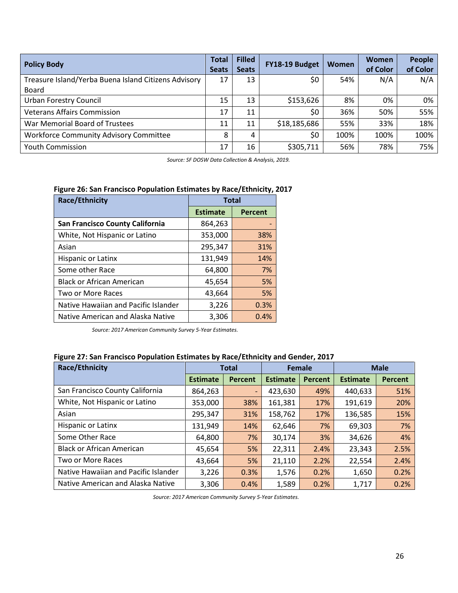| <b>Policy Body</b>                                   | Total<br><b>Seats</b> | <b>Filled</b><br><b>Seats</b> | FY18-19 Budget | <b>Women</b> | <b>Women</b><br>of Color | <b>People</b><br>of Color |
|------------------------------------------------------|-----------------------|-------------------------------|----------------|--------------|--------------------------|---------------------------|
| Treasure Island/Yerba Buena Island Citizens Advisory | 17                    | 13                            | \$0            | 54%          | N/A                      | N/A                       |
| <b>Board</b>                                         |                       |                               |                |              |                          |                           |
| <b>Urban Forestry Council</b>                        | 15                    | 13                            | \$153,626      | 8%           | 0%                       | 0%                        |
| <b>Veterans Affairs Commission</b>                   | 17                    | 11                            | \$0            | 36%          | 50%                      | 55%                       |
| War Memorial Board of Trustees                       | 11                    | 11                            | \$18,185,686   | 55%          | 33%                      | 18%                       |
| <b>Workforce Community Advisory Committee</b>        | 8                     | 4                             | \$0            | 100%         | 100%                     | 100%                      |
| <b>Youth Commission</b>                              | 17                    | 16                            | \$305,711      | 56%          | 78%                      | 75%                       |

*Source: SF DOSW Data Collection & Analysis, 2019.*

#### **Figure 26: San Francisco Population Estimates by Race/Ethnicity, 2017**

| <b>Race/Ethnicity</b>                | <b>Total</b>    |                |
|--------------------------------------|-----------------|----------------|
|                                      | <b>Estimate</b> | <b>Percent</b> |
| San Francisco County California      | 864,263         |                |
| White, Not Hispanic or Latino        | 353,000         | 38%            |
| Asian                                | 295,347         | 31%            |
| Hispanic or Latinx                   | 131,949         | 14%            |
| Some other Race                      | 64,800          | 7%             |
| <b>Black or African American</b>     | 45,654          | 5%             |
| Two or More Races                    | 43,664          | 5%             |
| Native Hawaiian and Pacific Islander | 3,226           | 0.3%           |
| Native American and Alaska Native    | 3,306           | 0.4%           |

*Source: 2017 American Community Survey 5-Year Estimates.*

#### **Figure 27: San Francisco Population Estimates by Race/Ethnicity and Gender, 2017**

| Race/Ethnicity                       | <b>Total</b>    |         | <b>Female</b>   |                | <b>Male</b>     |                |
|--------------------------------------|-----------------|---------|-----------------|----------------|-----------------|----------------|
|                                      | <b>Estimate</b> | Percent | <b>Estimate</b> | <b>Percent</b> | <b>Estimate</b> | <b>Percent</b> |
| San Francisco County California      | 864,263         |         | 423,630         | 49%            | 440,633         | 51%            |
| White, Not Hispanic or Latino        | 353,000         | 38%     | 161,381         | 17%            | 191,619         | 20%            |
| Asian                                | 295,347         | 31%     | 158,762         | 17%            | 136,585         | 15%            |
| Hispanic or Latinx                   | 131,949         | 14%     | 62,646          | 7%             | 69,303          | 7%             |
| Some Other Race                      | 64,800          | 7%      | 30,174          | 3%             | 34,626          | 4%             |
| <b>Black or African American</b>     | 45,654          | 5%      | 22,311          | 2.4%           | 23,343          | 2.5%           |
| Two or More Races                    | 43,664          | 5%      | 21,110          | 2.2%           | 22,554          | 2.4%           |
| Native Hawaiian and Pacific Islander | 3,226           | 0.3%    | 1,576           | 0.2%           | 1,650           | 0.2%           |
| Native American and Alaska Native    | 3,306           | 0.4%    | 1,589           | 0.2%           | 1,717           | 0.2%           |

*Source: 2017 American Community Survey 5-Year Estimates.*